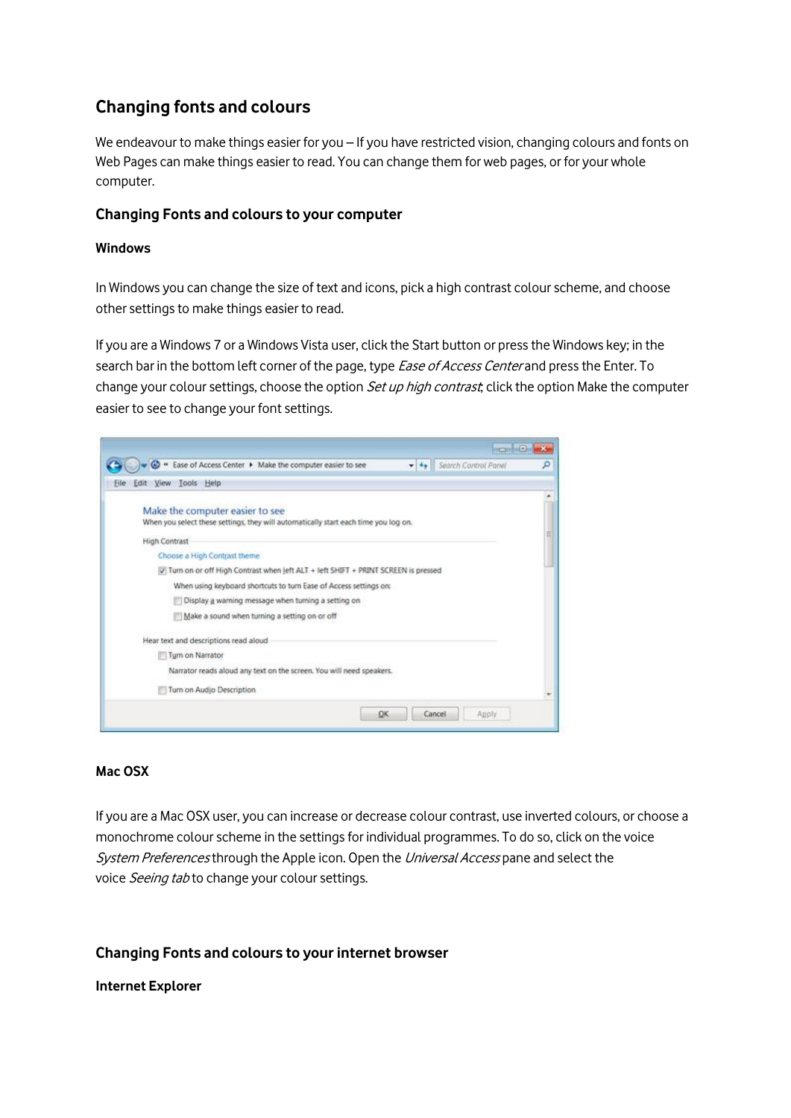# **Changing fonts and colours**

We endeavour to make things easier for you – If you have restricted vision, changing colours and fonts on Web Pages can make things easier to read. You can change them for web pages, or for your whole computer.

## **Changing Fonts and colours to your computer**

### **Windows**

In Windows you can change the size of text and icons, pick a high contrast colour scheme, and choose other settings to make things easier to read.

If you are a Windows 7 or a Windows Vista user, click the Start button or press the Windows key; in the search bar in the bottom left corner of the page, type *Ease of Access Center* and press the Enter. To change your colour settings, choose the option *Set up high contrast*; click the option Make the computer easier to see to change your font settings.

| Edit View Tools Help<br>Make the computer easier to see<br>When you select these settings, they will automatically start each time you log on.<br><b>High Contrast</b><br>Choose a High Contrast theme<br>V Turn on or off High Contrast when Jeft ALT + left SHIFT + PRINT SCREEN is pressed<br>When using keyboard shortcuts to turn Ease of Access settings on:<br>Display a warning message when turning a setting on<br>Make a sound when turning a setting on or off<br>Hear text and descriptions read aloud<br>Turn on Narrator | → Ease of Access Center ▶ Make the computer easier to see<br>+ ++ Search Control Panel |
|-----------------------------------------------------------------------------------------------------------------------------------------------------------------------------------------------------------------------------------------------------------------------------------------------------------------------------------------------------------------------------------------------------------------------------------------------------------------------------------------------------------------------------------------|----------------------------------------------------------------------------------------|
|                                                                                                                                                                                                                                                                                                                                                                                                                                                                                                                                         |                                                                                        |
|                                                                                                                                                                                                                                                                                                                                                                                                                                                                                                                                         |                                                                                        |
|                                                                                                                                                                                                                                                                                                                                                                                                                                                                                                                                         |                                                                                        |
|                                                                                                                                                                                                                                                                                                                                                                                                                                                                                                                                         |                                                                                        |
|                                                                                                                                                                                                                                                                                                                                                                                                                                                                                                                                         |                                                                                        |
|                                                                                                                                                                                                                                                                                                                                                                                                                                                                                                                                         |                                                                                        |
|                                                                                                                                                                                                                                                                                                                                                                                                                                                                                                                                         |                                                                                        |
|                                                                                                                                                                                                                                                                                                                                                                                                                                                                                                                                         |                                                                                        |
|                                                                                                                                                                                                                                                                                                                                                                                                                                                                                                                                         |                                                                                        |
|                                                                                                                                                                                                                                                                                                                                                                                                                                                                                                                                         |                                                                                        |
|                                                                                                                                                                                                                                                                                                                                                                                                                                                                                                                                         |                                                                                        |
|                                                                                                                                                                                                                                                                                                                                                                                                                                                                                                                                         |                                                                                        |
|                                                                                                                                                                                                                                                                                                                                                                                                                                                                                                                                         | Narrator reads aloud any text on the screen. You will need speakers.                   |
| Turn on Audio Description                                                                                                                                                                                                                                                                                                                                                                                                                                                                                                               |                                                                                        |

#### **Mac OSX**

If you are a Mac OSX user, you can increase or decrease colour contrast, use inverted colours, or choose a monochrome colour scheme in the settings for individual programmes. To do so, click on the voice System Preferences through the Apple icon. Open the Universal Access pane and select the voice Seeing tab to change your colour settings.

# **Changing Fonts and colours to your internet browser**

#### **Internet Explorer**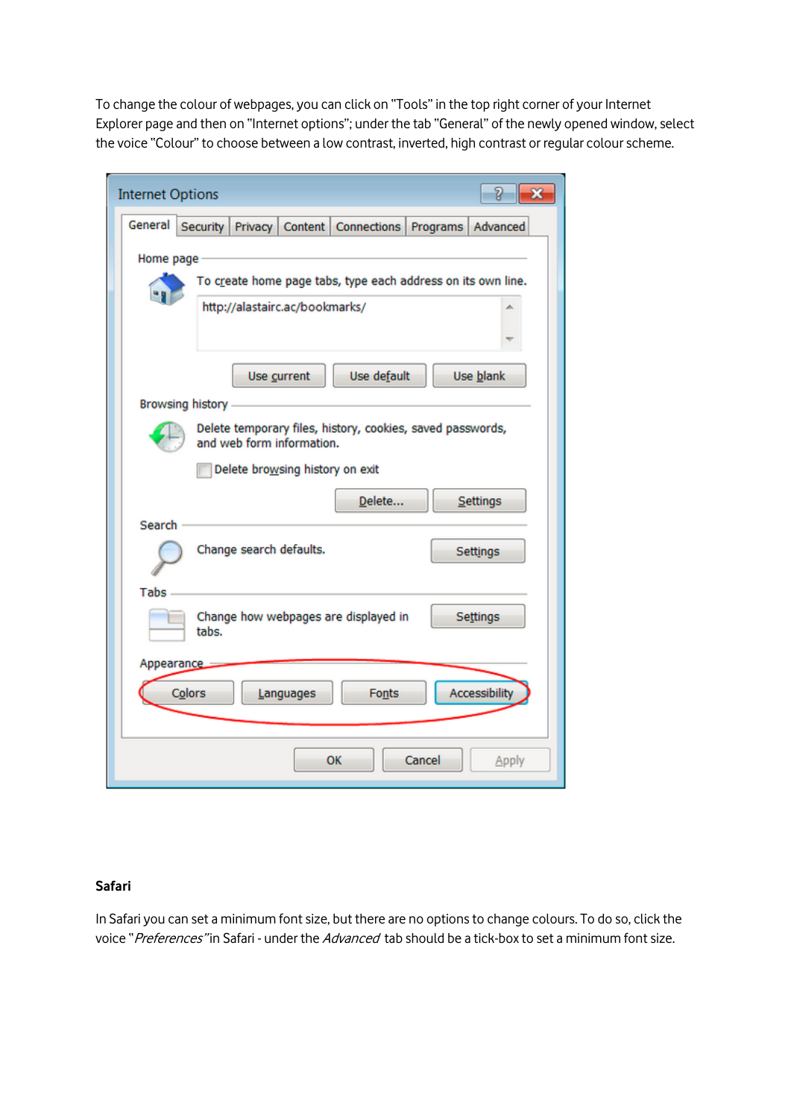To change the colour of webpages, you can click on "Tools" in the top right corner of your Internet Explorer page and then on "Internet options"; under the tab "General" of the newly opened window, select the voice "Colour" to choose between a low contrast, inverted, high contrast or regular colour scheme.

| 8<br><b>Internet Options</b><br>×                                                       |
|-----------------------------------------------------------------------------------------|
| General<br>Security Privacy Content Connections<br>Programs<br>Advanced                 |
| Home page                                                                               |
| To create home page tabs, type each address on its own line.                            |
| http://alastairc.ac/bookmarks/                                                          |
|                                                                                         |
| Use default<br>Use blank<br>Use current                                                 |
| Browsing history                                                                        |
| Delete temporary files, history, cookies, saved passwords,<br>and web form information. |
| Delete browsing history on exit                                                         |
| Delete<br>Settings                                                                      |
| Search                                                                                  |
| Change search defaults.<br>Settings                                                     |
| Tabs                                                                                    |
| Change how webpages are displayed in<br>Settings<br>tabs.                               |
| <b>Appearance</b>                                                                       |
| Accessibility<br>Colors<br>Fonts<br>Languages                                           |
|                                                                                         |
| Cancel<br>OK<br>Apply                                                                   |

#### **Safari**

In Safari you can set a minimum font size, but there are no options to change colours. To do so, click the voice "*Preferences*" in Safari - under the *Advanced* tab should be a tick-box to set a minimum font size.